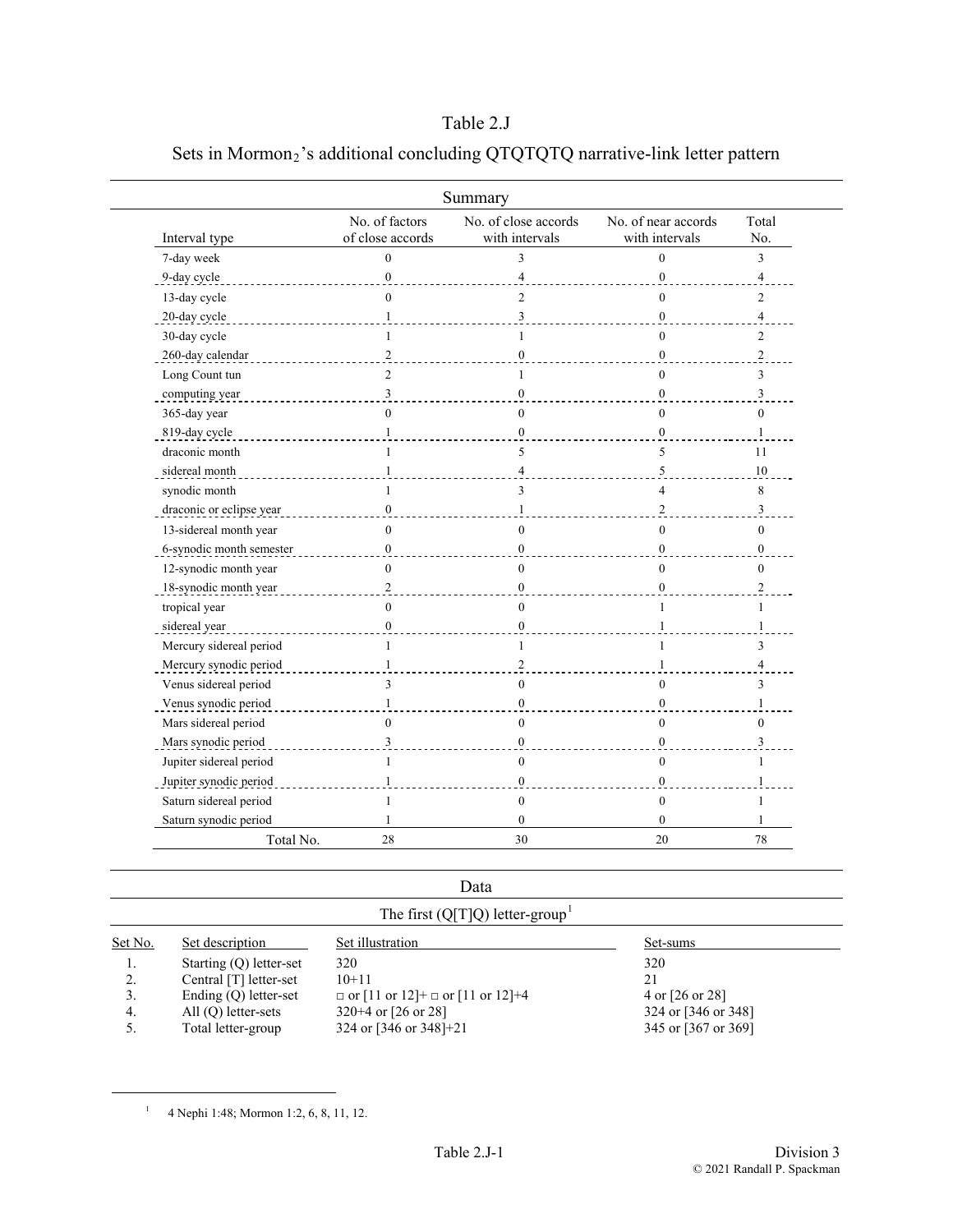## Table 2.J

|                          |                                    | Summary                                |                                       |                         |
|--------------------------|------------------------------------|----------------------------------------|---------------------------------------|-------------------------|
| Interval type            | No. of factors<br>of close accords | No. of close accords<br>with intervals | No. of near accords<br>with intervals | Total<br>No.            |
| 7-day week               | $\Omega$                           | 3                                      | $\theta$                              | 3                       |
| 9-day cycle              | $\mathbf{0}$                       | $\overline{4}$                         | $\mathbf{0}$                          | $\overline{\mathbf{4}}$ |
| 13-day cycle             | $\Omega$                           | $\overline{2}$                         | $\theta$                              | 2                       |
| 20-day cycle             |                                    | 3                                      | $\Omega$                              | $\overline{4}$          |
| 30-day cycle             | 1                                  | 1                                      | $\theta$                              | $\overline{c}$          |
| 260-day calendar         | 2                                  | $\boldsymbol{0}$                       | $\overline{0}$                        | $\overline{2}$          |
| Long Count tun           | $\overline{c}$                     | 1                                      | $\theta$                              | 3                       |
| computing year           | 3                                  | $\Omega$                               | $\mathbf{0}$                          | 3                       |
| 365-day year             | $\theta$                           | $\mathbf{0}$                           | $\theta$                              | $\theta$                |
| 819-day cycle            |                                    | $\Omega$                               | $\theta$                              |                         |
| draconic month           | $\mathbf{1}$                       | 5                                      | 5                                     | 11                      |
| sidereal month           | 1                                  | $\overline{4}$                         | 5                                     | 10                      |
| synodic month            |                                    | 3                                      | 4                                     | 8                       |
| draconic or eclipse year | $\mathbf{0}$                       | $\mathbf{1}$                           | $\overline{c}$                        | $\overline{3}$          |
| 13-sidereal month year   | $\Omega$                           | $\theta$                               | $\Omega$                              | $\Omega$                |
| 6-synodic month semester | 0                                  | $\mathbf{0}$                           | $\mathbf{0}$                          | $\boldsymbol{0}$        |
| 12-synodic month year    | $\Omega$                           | $\mathbf{0}$                           | $\theta$                              | $\theta$                |
| 18-synodic month year    | $\overline{2}$                     | $\Omega$                               | $\theta$                              | 2                       |
| tropical year            | $\Omega$                           | $\theta$                               | $\mathbf{1}$                          | 1                       |
| sidereal year            | $\Omega$                           | $\Omega$                               |                                       | 1                       |
| Mercury sidereal period  | 1                                  | 1                                      |                                       | 3                       |
| Mercury synodic period   | 1                                  | $\boldsymbol{2}$                       |                                       | 4                       |
| Venus sidereal period    | 3                                  | $\mathbf{0}$                           | $\theta$                              | 3                       |
| Venus synodic period     | $\mathbf{1}$                       | $\boldsymbol{0}$                       | $\mathbf{0}$                          | $\mathbf{1}$            |
| Mars sidereal period     | $\Omega$                           | $\mathbf{0}$                           | $\theta$                              | $\Omega$                |
| Mars synodic period      | 3                                  | $\theta$                               | $\Omega$                              | 3                       |
| Jupiter sidereal period  | 1                                  | $\mathbf{0}$                           | $\theta$                              | 1                       |
| Jupiter synodic period   | 1                                  | $\boldsymbol{0}$                       | $\mathbf{0}$                          | 1                       |
| Saturn sidereal period   | 1                                  | $\mathbf{0}$                           | $\theta$                              | 1                       |
| Saturn synodic period    | 1                                  | $\mathbf{0}$                           | $\mathbf{0}$                          | 1                       |
| Total No.                | 28                                 | 30                                     | 20                                    | 78                      |

## Sets in Mormon<sub>2</sub>'s additional concluding QTQTQTQ narrative-link letter pattern

Data

| The first (Q[T]Q) letter-group |                         |                                              |                     |  |  |
|--------------------------------|-------------------------|----------------------------------------------|---------------------|--|--|
| Set No.                        | Set description         | Set illustration                             | Set-sums            |  |  |
|                                | Starting (Q) letter-set | 320                                          | 320                 |  |  |
| 2.                             | Central [T] letter-set  | $10+11$                                      | 21                  |  |  |
|                                | Ending $(Q)$ letter-set | $\Box$ or [11 or 12]+ $\Box$ or [11 or 12]+4 | 4 or [26 or 28]     |  |  |
| -4.                            | $All (Q) letter-sets$   | $320+4$ or [26 or 28]                        | 324 or [346 or 348] |  |  |
|                                | Total letter-group      | 324 or [346 or 348]+21                       | 345 or [367 or 369] |  |  |
|                                |                         |                                              |                     |  |  |

<sup>1</sup> 4 Nephi 1:48; Mormon 1:2, 6, 8, 11, 12.

<span id="page-0-0"></span>

 $\overline{a}$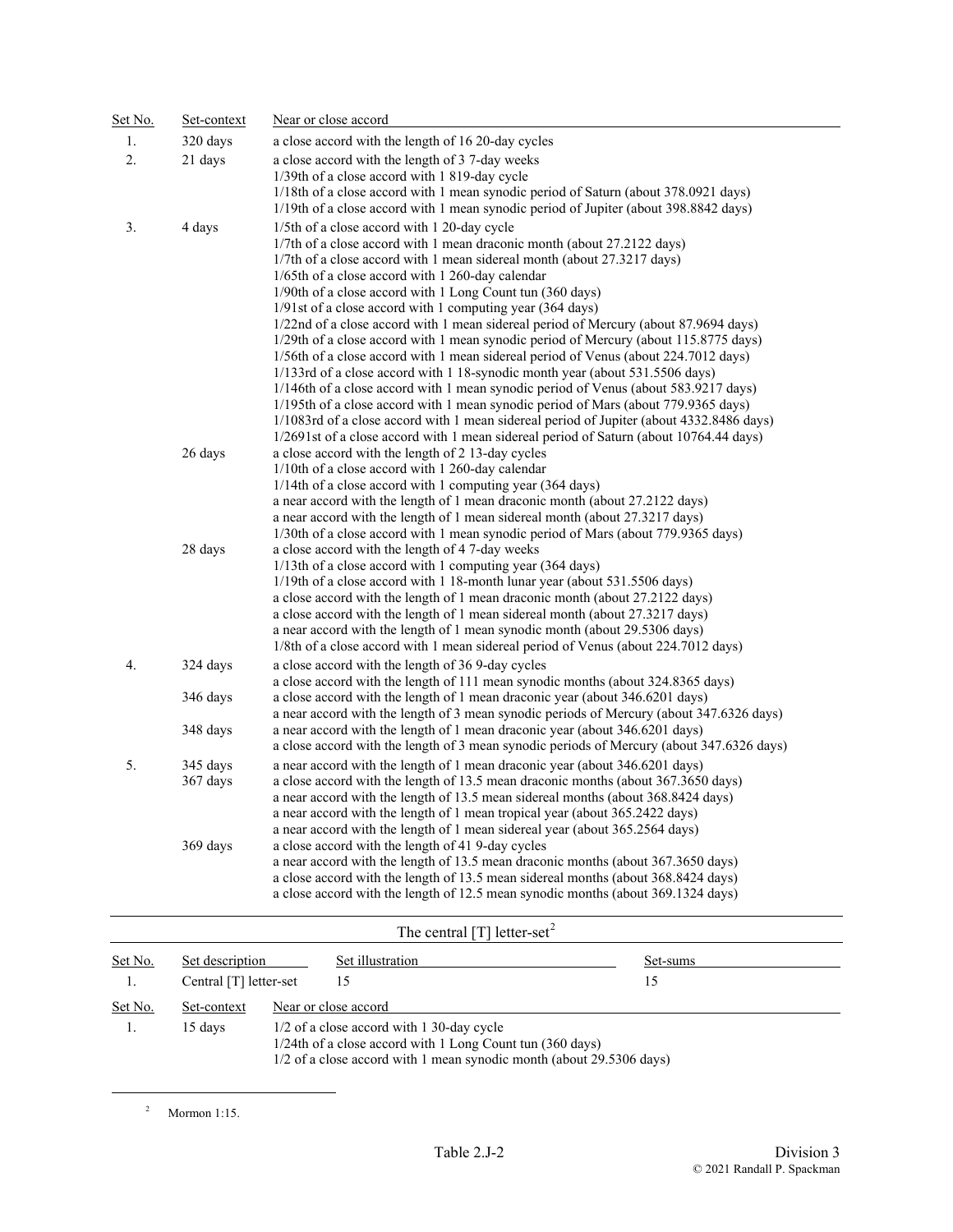| Set No. | Set-context          | Near or close accord                                                                                                                                                                                                                                                                                                                                                                                                                                                                                                                                                                                                                                                                                                                                                                                                                                                                                                                                                                                                                                                                                      |  |  |  |
|---------|----------------------|-----------------------------------------------------------------------------------------------------------------------------------------------------------------------------------------------------------------------------------------------------------------------------------------------------------------------------------------------------------------------------------------------------------------------------------------------------------------------------------------------------------------------------------------------------------------------------------------------------------------------------------------------------------------------------------------------------------------------------------------------------------------------------------------------------------------------------------------------------------------------------------------------------------------------------------------------------------------------------------------------------------------------------------------------------------------------------------------------------------|--|--|--|
| 1.      | 320 days             | a close accord with the length of 16 20-day cycles                                                                                                                                                                                                                                                                                                                                                                                                                                                                                                                                                                                                                                                                                                                                                                                                                                                                                                                                                                                                                                                        |  |  |  |
| 2.      | 21 days              | a close accord with the length of 3 7-day weeks<br>1/39th of a close accord with 1819-day cycle<br>1/18th of a close accord with 1 mean synodic period of Saturn (about 378.0921 days)<br>1/19th of a close accord with 1 mean synodic period of Jupiter (about 398.8842 days)                                                                                                                                                                                                                                                                                                                                                                                                                                                                                                                                                                                                                                                                                                                                                                                                                            |  |  |  |
| 3.      | 4 days               | 1/5th of a close accord with 1 20-day cycle<br>1/7th of a close accord with 1 mean draconic month (about 27.2122 days)<br>1/7th of a close accord with 1 mean sidereal month (about 27.3217 days)<br>1/65th of a close accord with 1 260-day calendar<br>1/90th of a close accord with 1 Long Count tun (360 days)<br>1/91st of a close accord with 1 computing year (364 days)<br>1/22nd of a close accord with 1 mean sidereal period of Mercury (about 87.9694 days)<br>1/29th of a close accord with 1 mean synodic period of Mercury (about 115.8775 days)<br>1/56th of a close accord with 1 mean sidereal period of Venus (about 224,7012 days)<br>1/133rd of a close accord with 1 18-synodic month year (about 531.5506 days)<br>1/146th of a close accord with 1 mean synodic period of Venus (about 583.9217 days)<br>1/195th of a close accord with 1 mean synodic period of Mars (about 779.9365 days)<br>1/1083rd of a close accord with 1 mean sidereal period of Jupiter (about 4332.8486 days)<br>1/2691st of a close accord with 1 mean sidereal period of Saturn (about 10764.44 days) |  |  |  |
|         | 26 days              | a close accord with the length of 2 13-day cycles<br>1/10th of a close accord with 1 260-day calendar<br>$1/14$ th of a close accord with 1 computing year (364 days)<br>a near accord with the length of 1 mean draconic month (about 27.2122 days)<br>a near accord with the length of 1 mean sidereal month (about 27.3217 days)<br>1/30th of a close accord with 1 mean synodic period of Mars (about 779.9365 days)                                                                                                                                                                                                                                                                                                                                                                                                                                                                                                                                                                                                                                                                                  |  |  |  |
|         | 28 days              | a close accord with the length of 4 7-day weeks<br>$1/13$ th of a close accord with 1 computing year (364 days)<br>1/19th of a close accord with 1 18-month lunar year (about 531.5506 days)<br>a close accord with the length of 1 mean draconic month (about 27.2122 days)<br>a close accord with the length of 1 mean sidereal month (about 27.3217 days)<br>a near accord with the length of 1 mean synodic month (about 29.5306 days)<br>1/8th of a close accord with 1 mean sidereal period of Venus (about 224.7012 days)                                                                                                                                                                                                                                                                                                                                                                                                                                                                                                                                                                          |  |  |  |
| 4.      | 324 days<br>346 days | a close accord with the length of 36 9-day cycles<br>a close accord with the length of 111 mean synodic months (about 324.8365 days)<br>a close accord with the length of 1 mean draconic year (about 346.6201 days)<br>a near accord with the length of 3 mean synodic periods of Mercury (about 347.6326 days)                                                                                                                                                                                                                                                                                                                                                                                                                                                                                                                                                                                                                                                                                                                                                                                          |  |  |  |
|         | 348 days             | a near accord with the length of 1 mean draconic year (about 346.6201 days)<br>a close accord with the length of 3 mean synodic periods of Mercury (about 347.6326 days)                                                                                                                                                                                                                                                                                                                                                                                                                                                                                                                                                                                                                                                                                                                                                                                                                                                                                                                                  |  |  |  |
| 5.      | 345 days<br>367 days | a near accord with the length of 1 mean draconic year (about 346.6201 days)<br>a close accord with the length of 13.5 mean draconic months (about 367.3650 days)<br>a near accord with the length of 13.5 mean sidereal months (about 368.8424 days)<br>a near accord with the length of 1 mean tropical year (about 365.2422 days)<br>a near accord with the length of 1 mean sidereal year (about 365.2564 days)                                                                                                                                                                                                                                                                                                                                                                                                                                                                                                                                                                                                                                                                                        |  |  |  |
|         | 369 days             | a close accord with the length of 41 9-day cycles<br>a near accord with the length of 13.5 mean draconic months (about 367.3650 days)<br>a close accord with the length of 13.5 mean sidereal months (about 368.8424 days)<br>a close accord with the length of 12.5 mean synodic months (about 369.1324 days)                                                                                                                                                                                                                                                                                                                                                                                                                                                                                                                                                                                                                                                                                                                                                                                            |  |  |  |

## The central [T] letter-set<sup>[2](#page-1-0)</sup>

| Set No. | Set description        |                                                                                                                                                                                | Set illustration | Set-sums |
|---------|------------------------|--------------------------------------------------------------------------------------------------------------------------------------------------------------------------------|------------------|----------|
|         | Central [T] letter-set |                                                                                                                                                                                | 15               |          |
| Set No. | Set-context            | Near or close accord                                                                                                                                                           |                  |          |
|         | 15 days                | 1/2 of a close accord with 1 30-day cycle<br>1/24th of a close accord with 1 Long Count tun (360 days)<br>1/2 of a close accord with 1 mean synodic month (about 29.5306 days) |                  |          |

2 Mormon 1:15.

<span id="page-1-0"></span>

L,